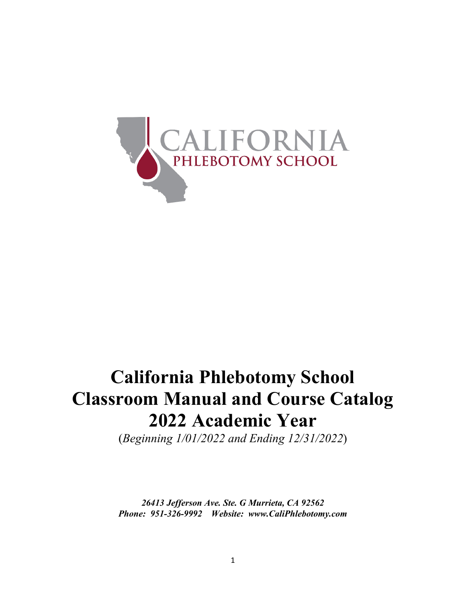

# **California Phlebotomy School Classroom Manual and Course Catalog 2022 Academic Year**

(*Beginning 1/01/2022 and Ending 12/31/2022*)

*26413 Jefferson Ave. Ste. G Murrieta, CA 92562 Phone: 951-326-9992 Website: www.CaliPhlebotomy.com*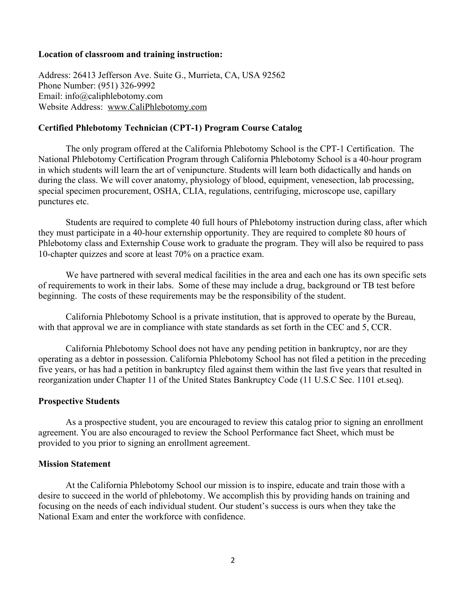#### **Location of classroom and training instruction:**

Address: 26413 Jefferson Ave. Suite G., Murrieta, CA, USA 92562 Phone Number: (951) 326-9992 Email: info@caliphlebotomy.com Website Address: www.CaliPhlebotomy.com

#### **Certified Phlebotomy Technician (CPT-1) Program Course Catalog**

The only program offered at the California Phlebotomy School is the CPT-1 Certification. The National Phlebotomy Certification Program through California Phlebotomy School is a 40-hour program in which students will learn the art of venipuncture. Students will learn both didactically and hands on during the class. We will cover anatomy, physiology of blood, equipment, venesection, lab processing, special specimen procurement, OSHA, CLIA, regulations, centrifuging, microscope use, capillary punctures etc.

Students are required to complete 40 full hours of Phlebotomy instruction during class, after which they must participate in a 40-hour externship opportunity. They are required to complete 80 hours of Phlebotomy class and Externship Couse work to graduate the program. They will also be required to pass 10-chapter quizzes and score at least 70% on a practice exam.

We have partnered with several medical facilities in the area and each one has its own specific sets of requirements to work in their labs. Some of these may include a drug, background or TB test before beginning. The costs of these requirements may be the responsibility of the student.

California Phlebotomy School is a private institution, that is approved to operate by the Bureau, with that approval we are in compliance with state standards as set forth in the CEC and 5, CCR.

California Phlebotomy School does not have any pending petition in bankruptcy, nor are they operating as a debtor in possession. California Phlebotomy School has not filed a petition in the preceding five years, or has had a petition in bankruptcy filed against them within the last five years that resulted in reorganization under Chapter 11 of the United States Bankruptcy Code (11 U.S.C Sec. 1101 et.seq).

#### **Prospective Students**

As a prospective student, you are encouraged to review this catalog prior to signing an enrollment agreement. You are also encouraged to review the School Performance fact Sheet, which must be provided to you prior to signing an enrollment agreement.

#### **Mission Statement**

At the California Phlebotomy School our mission is to inspire, educate and train those with a desire to succeed in the world of phlebotomy. We accomplish this by providing hands on training and focusing on the needs of each individual student. Our student's success is ours when they take the National Exam and enter the workforce with confidence.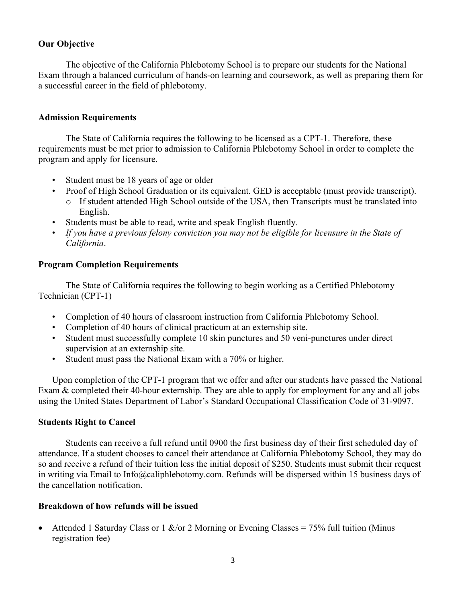#### **Our Objective**

The objective of the California Phlebotomy School is to prepare our students for the National Exam through a balanced curriculum of hands-on learning and coursework, as well as preparing them for a successful career in the field of phlebotomy.

#### **Admission Requirements**

The State of California requires the following to be licensed as a CPT-1. Therefore, these requirements must be met prior to admission to California Phlebotomy School in order to complete the program and apply for licensure.

- Student must be 18 years of age or older
- Proof of High School Graduation or its equivalent. GED is acceptable (must provide transcript). o If student attended High School outside of the USA, then Transcripts must be translated into English.
- Students must be able to read, write and speak English fluently.
- *If you have a previous felony conviction you may not be eligible for licensure in the State of California*.

#### **Program Completion Requirements**

The State of California requires the following to begin working as a Certified Phlebotomy Technician (CPT-1)

- Completion of 40 hours of classroom instruction from California Phlebotomy School.
- Completion of 40 hours of clinical practicum at an externship site.
- Student must successfully complete 10 skin punctures and 50 veni-punctures under direct supervision at an externship site.
- Student must pass the National Exam with a 70% or higher.

Upon completion of the CPT-1 program that we offer and after our students have passed the National Exam & completed their 40-hour externship. They are able to apply for employment for any and all jobs using the United States Department of Labor's Standard Occupational Classification Code of 31-9097.

#### **Students Right to Cancel**

Students can receive a full refund until 0900 the first business day of their first scheduled day of attendance. If a student chooses to cancel their attendance at California Phlebotomy School, they may do so and receive a refund of their tuition less the initial deposit of \$250. Students must submit their request in writing via Email to Info@caliphlebotomy.com. Refunds will be dispersed within 15 business days of the cancellation notification.

#### **Breakdown of how refunds will be issued**

• Attended 1 Saturday Class or 1  $\&$ /or 2 Morning or Evening Classes = 75% full tuition (Minus registration fee)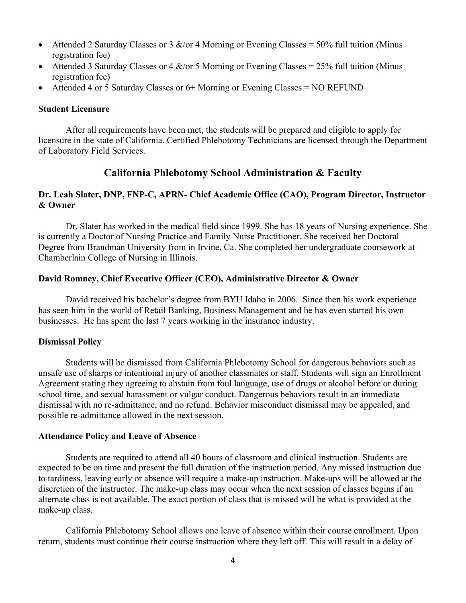- Attended 2 Saturday Classes or 3  $\&$ /or 4 Morning or Evening Classes = 50% full tuition (Minus registration fee)
- Attended 3 Saturday Classes or 4  $\&$ /or 5 Morning or Evening Classes = 25% full tuition (Minus registration fee)
- Attended 4 or 5 Saturday Classes or 6+ Morning or Evening Classes = NO REFUND

#### **Student Licensure**

After all requirements have been met, the students will be prepared and eligible to apply for licensure in the state of California. Certified Phlebotomy Technicians are licensed through the Department of Laboratory Field Services.

# **California Phlebotomy School Administration & Faculty**

#### **Dr. Leah Slater, DNP, FNP-C, APRN- Chief Academic Office (CAO), Program Director, Instructor & Owner**

Dr. Slater has worked in the medical field since 1999. She has 18 years of Nursing experience. She is currently a Doctor of Nursing Practice and Family Nurse Practitioner. She received her Doctoral Degree from Brandman University from in Irvine, Ca. She completed her undergraduate coursework at Chamberlain College of Nursing in Illinois.

#### **David Romney, Chief Executive Officer (CEO), Administrative Director & Owner**

David received his bachelor's degree from BYU Idaho in 2006. Since then his work experience has seen him in the world of Retail Banking, Business Management and he has even started his own businesses. He has spent the last 7 years working in the insurance industry.

#### **Dismissal Policy**

Students will be dismissed from California Phlebotomy School for dangerous behaviors such as unsafe use of sharps or intentional injury of another classmates or staff. Students will sign an Enrollment Agreement stating they agreeing to abstain from foul language, use of drugs or alcohol before or during school time, and sexual harassment or vulgar conduct. Dangerous behaviors result in an immediate dismissal with no re-admittance, and no refund. Behavior misconduct dismissal may be appealed, and possible re-admittance allowed in the next session.

#### **Attendance Policy and Leave of Absence**

Students are required to attend all 40 hours of classroom and clinical instruction. Students are expected to be on time and present the full duration of the instruction period. Any missed instruction due to tardiness, leaving early or absence will require a make-up instruction. Make-ups will be allowed at the discretion of the instructor. The make-up class may occur when the next session of classes begins if an alternate class is not available. The exact portion of class that is missed will be what is provided at the make-up class.

California Phlebotomy School allows one leave of absence within their course enrollment. Upon return, students must continue their course instruction where they left off. This will result in a delay of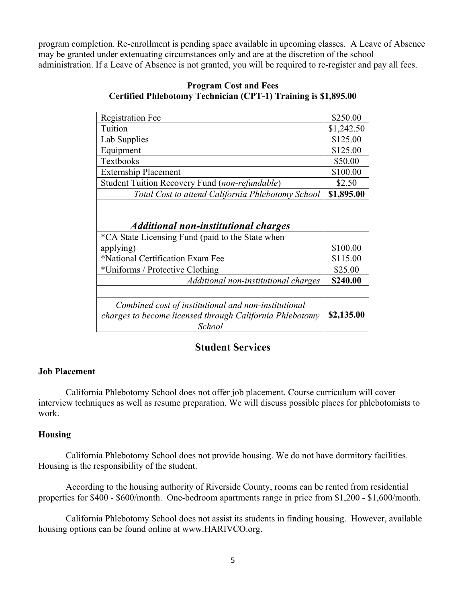program completion. Re-enrollment is pending space available in upcoming classes. A Leave of Absence may be granted under extenuating circumstances only and are at the discretion of the school administration. If a Leave of Absence is not granted, you will be required to re-register and pay all fees.

| <b>Registration Fee</b>                                                                                                                          | \$250.00             |
|--------------------------------------------------------------------------------------------------------------------------------------------------|----------------------|
| Tuition                                                                                                                                          | \$1,242.50           |
| Lab Supplies                                                                                                                                     | \$125.00             |
| Equipment                                                                                                                                        | \$125.00             |
| Textbooks                                                                                                                                        | \$50.00              |
| <b>Externship Placement</b>                                                                                                                      | \$100.00             |
| Student Tuition Recovery Fund (non-refundable)                                                                                                   | \$2.50               |
| Total Cost to attend California Phlebotomy School                                                                                                | \$1,895.00           |
| <b>Additional non-institutional charges</b><br>*CA State Licensing Fund (paid to the State when<br>applying)<br>*National Certification Exam Fee | \$100.00<br>\$115.00 |
| *Uniforms / Protective Clothing                                                                                                                  | \$25.00              |
| Additional non-institutional charges                                                                                                             | \$240.00             |
|                                                                                                                                                  |                      |
| Combined cost of institutional and non-institutional<br>charges to become licensed through California Phlebotomy<br>School                       | \$2,135.00           |

#### **Program Cost and Fees Certified Phlebotomy Technician (CPT-1) Training is \$1,895.00**

# **Student Services**

#### **Job Placement**

California Phlebotomy School does not offer job placement. Course curriculum will cover interview techniques as well as resume preparation. We will discuss possible places for phlebotomists to work.

#### **Housing**

California Phlebotomy School does not provide housing. We do not have dormitory facilities. Housing is the responsibility of the student.

According to the housing authority of Riverside County, rooms can be rented from residential properties for \$400 - \$600/month. One-bedroom apartments range in price from \$1,200 - \$1,600/month.

California Phlebotomy School does not assist its students in finding housing. However, available housing options can be found online at www.HARIVCO.org.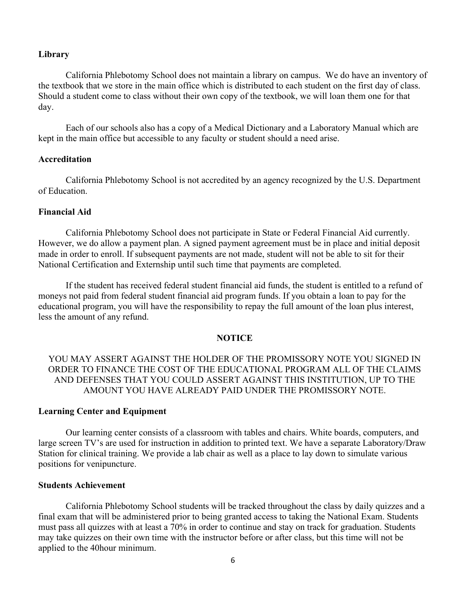#### **Library**

California Phlebotomy School does not maintain a library on campus. We do have an inventory of the textbook that we store in the main office which is distributed to each student on the first day of class. Should a student come to class without their own copy of the textbook, we will loan them one for that day.

Each of our schools also has a copy of a Medical Dictionary and a Laboratory Manual which are kept in the main office but accessible to any faculty or student should a need arise.

#### **Accreditation**

California Phlebotomy School is not accredited by an agency recognized by the U.S. Department of Education.

#### **Financial Aid**

California Phlebotomy School does not participate in State or Federal Financial Aid currently. However, we do allow a payment plan. A signed payment agreement must be in place and initial deposit made in order to enroll. If subsequent payments are not made, student will not be able to sit for their National Certification and Externship until such time that payments are completed.

If the student has received federal student financial aid funds, the student is entitled to a refund of moneys not paid from federal student financial aid program funds. If you obtain a loan to pay for the educational program, you will have the responsibility to repay the full amount of the loan plus interest, less the amount of any refund.

#### **NOTICE**

YOU MAY ASSERT AGAINST THE HOLDER OF THE PROMISSORY NOTE YOU SIGNED IN ORDER TO FINANCE THE COST OF THE EDUCATIONAL PROGRAM ALL OF THE CLAIMS AND DEFENSES THAT YOU COULD ASSERT AGAINST THIS INSTITUTION, UP TO THE AMOUNT YOU HAVE ALREADY PAID UNDER THE PROMISSORY NOTE.

#### **Learning Center and Equipment**

Our learning center consists of a classroom with tables and chairs. White boards, computers, and large screen TV's are used for instruction in addition to printed text. We have a separate Laboratory/Draw Station for clinical training. We provide a lab chair as well as a place to lay down to simulate various positions for venipuncture.

#### **Students Achievement**

California Phlebotomy School students will be tracked throughout the class by daily quizzes and a final exam that will be administered prior to being granted access to taking the National Exam. Students must pass all quizzes with at least a 70% in order to continue and stay on track for graduation. Students may take quizzes on their own time with the instructor before or after class, but this time will not be applied to the 40hour minimum.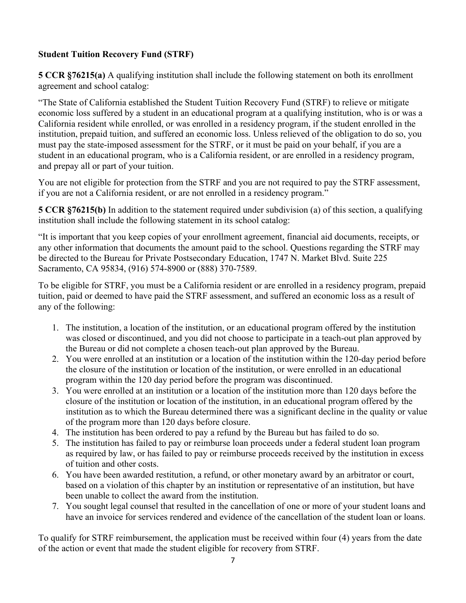# **Student Tuition Recovery Fund (STRF)**

**5 CCR §76215(a)** A qualifying institution shall include the following statement on both its enrollment agreement and school catalog:

"The State of California established the Student Tuition Recovery Fund (STRF) to relieve or mitigate economic loss suffered by a student in an educational program at a qualifying institution, who is or was a California resident while enrolled, or was enrolled in a residency program, if the student enrolled in the institution, prepaid tuition, and suffered an economic loss. Unless relieved of the obligation to do so, you must pay the state-imposed assessment for the STRF, or it must be paid on your behalf, if you are a student in an educational program, who is a California resident, or are enrolled in a residency program, and prepay all or part of your tuition.

You are not eligible for protection from the STRF and you are not required to pay the STRF assessment, if you are not a California resident, or are not enrolled in a residency program."

**5 CCR §76215(b)** In addition to the statement required under subdivision (a) of this section, a qualifying institution shall include the following statement in its school catalog:

"It is important that you keep copies of your enrollment agreement, financial aid documents, receipts, or any other information that documents the amount paid to the school. Questions regarding the STRF may be directed to the Bureau for Private Postsecondary Education, 1747 N. Market Blvd. Suite 225 Sacramento, CA 95834, (916) 574-8900 or (888) 370-7589.

To be eligible for STRF, you must be a California resident or are enrolled in a residency program, prepaid tuition, paid or deemed to have paid the STRF assessment, and suffered an economic loss as a result of any of the following:

- 1. The institution, a location of the institution, or an educational program offered by the institution was closed or discontinued, and you did not choose to participate in a teach-out plan approved by the Bureau or did not complete a chosen teach-out plan approved by the Bureau.
- 2. You were enrolled at an institution or a location of the institution within the 120-day period before the closure of the institution or location of the institution, or were enrolled in an educational program within the 120 day period before the program was discontinued.
- 3. You were enrolled at an institution or a location of the institution more than 120 days before the closure of the institution or location of the institution, in an educational program offered by the institution as to which the Bureau determined there was a significant decline in the quality or value of the program more than 120 days before closure.
- 4. The institution has been ordered to pay a refund by the Bureau but has failed to do so.
- 5. The institution has failed to pay or reimburse loan proceeds under a federal student loan program as required by law, or has failed to pay or reimburse proceeds received by the institution in excess of tuition and other costs.
- 6. You have been awarded restitution, a refund, or other monetary award by an arbitrator or court, based on a violation of this chapter by an institution or representative of an institution, but have been unable to collect the award from the institution.
- 7. You sought legal counsel that resulted in the cancellation of one or more of your student loans and have an invoice for services rendered and evidence of the cancellation of the student loan or loans.

To qualify for STRF reimbursement, the application must be received within four (4) years from the date of the action or event that made the student eligible for recovery from STRF.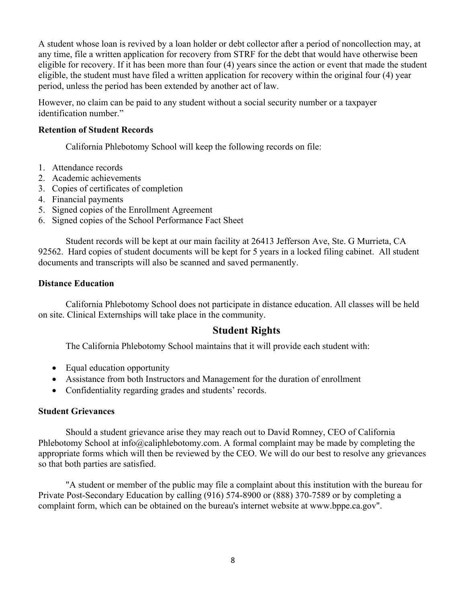A student whose loan is revived by a loan holder or debt collector after a period of noncollection may, at any time, file a written application for recovery from STRF for the debt that would have otherwise been eligible for recovery. If it has been more than four (4) years since the action or event that made the student eligible, the student must have filed a written application for recovery within the original four (4) year period, unless the period has been extended by another act of law.

However, no claim can be paid to any student without a social security number or a taxpayer identification number."

#### **Retention of Student Records**

California Phlebotomy School will keep the following records on file:

- 1. Attendance records
- 2. Academic achievements
- 3. Copies of certificates of completion
- 4. Financial payments
- 5. Signed copies of the Enrollment Agreement
- 6. Signed copies of the School Performance Fact Sheet

Student records will be kept at our main facility at 26413 Jefferson Ave, Ste. G Murrieta, CA 92562. Hard copies of student documents will be kept for 5 years in a locked filing cabinet. All student documents and transcripts will also be scanned and saved permanently.

#### **Distance Education**

California Phlebotomy School does not participate in distance education. All classes will be held on site. Clinical Externships will take place in the community.

# **Student Rights**

The California Phlebotomy School maintains that it will provide each student with:

- Equal education opportunity
- Assistance from both Instructors and Management for the duration of enrollment
- Confidentiality regarding grades and students' records.

#### **Student Grievances**

Should a student grievance arise they may reach out to David Romney, CEO of California Phlebotomy School at info@caliphlebotomy.com. A formal complaint may be made by completing the appropriate forms which will then be reviewed by the CEO. We will do our best to resolve any grievances so that both parties are satisfied.

"A student or member of the public may file a complaint about this institution with the bureau for Private Post-Secondary Education by calling (916) 574-8900 or (888) 370-7589 or by completing a complaint form, which can be obtained on the bureau's internet website at www.bppe.ca.gov".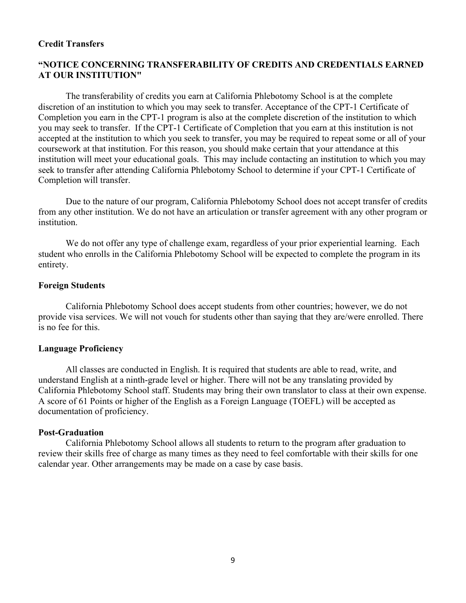#### **Credit Transfers**

#### **"NOTICE CONCERNING TRANSFERABILITY OF CREDITS AND CREDENTIALS EARNED AT OUR INSTITUTION"**

The transferability of credits you earn at California Phlebotomy School is at the complete discretion of an institution to which you may seek to transfer. Acceptance of the CPT-1 Certificate of Completion you earn in the CPT-1 program is also at the complete discretion of the institution to which you may seek to transfer. If the CPT-1 Certificate of Completion that you earn at this institution is not accepted at the institution to which you seek to transfer, you may be required to repeat some or all of your coursework at that institution. For this reason, you should make certain that your attendance at this institution will meet your educational goals. This may include contacting an institution to which you may seek to transfer after attending California Phlebotomy School to determine if your CPT-1 Certificate of Completion will transfer.

Due to the nature of our program, California Phlebotomy School does not accept transfer of credits from any other institution. We do not have an articulation or transfer agreement with any other program or institution.

We do not offer any type of challenge exam, regardless of your prior experiential learning. Each student who enrolls in the California Phlebotomy School will be expected to complete the program in its entirety.

#### **Foreign Students**

California Phlebotomy School does accept students from other countries; however, we do not provide visa services. We will not vouch for students other than saying that they are/were enrolled. There is no fee for this.

#### **Language Proficiency**

All classes are conducted in English. It is required that students are able to read, write, and understand English at a ninth-grade level or higher. There will not be any translating provided by California Phlebotomy School staff. Students may bring their own translator to class at their own expense. A score of 61 Points or higher of the English as a Foreign Language (TOEFL) will be accepted as documentation of proficiency.

#### **Post-Graduation**

California Phlebotomy School allows all students to return to the program after graduation to review their skills free of charge as many times as they need to feel comfortable with their skills for one calendar year. Other arrangements may be made on a case by case basis.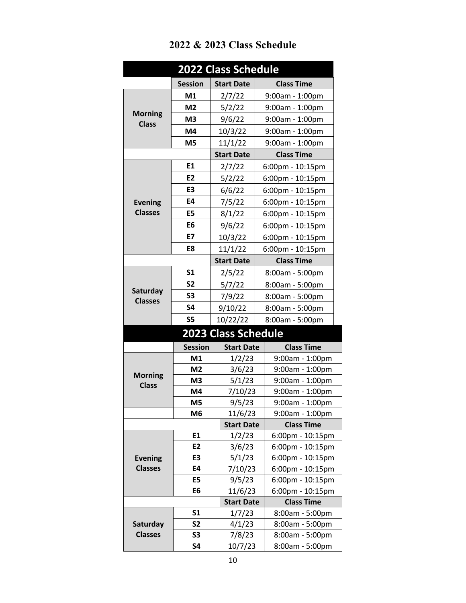| <b>Session</b><br><b>Class Time</b><br><b>Start Date</b><br>M1<br>2/7/22<br>9:00am - 1:00pm<br>M <sub>2</sub><br>5/2/22<br>9:00am - 1:00pm<br><b>Morning</b><br>M <sub>3</sub><br>9/6/22<br>9:00am - 1:00pm<br><b>Class</b><br>M4<br>10/3/22<br>9:00am - 1:00pm<br>M <sub>5</sub><br>11/1/22<br>9:00am - 1:00pm |
|-----------------------------------------------------------------------------------------------------------------------------------------------------------------------------------------------------------------------------------------------------------------------------------------------------------------|
|                                                                                                                                                                                                                                                                                                                 |
|                                                                                                                                                                                                                                                                                                                 |
|                                                                                                                                                                                                                                                                                                                 |
|                                                                                                                                                                                                                                                                                                                 |
|                                                                                                                                                                                                                                                                                                                 |
|                                                                                                                                                                                                                                                                                                                 |
| <b>Class Time</b><br><b>Start Date</b>                                                                                                                                                                                                                                                                          |
| E1<br>2/7/22<br>6:00pm - 10:15pm                                                                                                                                                                                                                                                                                |
| E <sub>2</sub><br>5/2/22<br>6:00pm - 10:15pm                                                                                                                                                                                                                                                                    |
| E3<br>6/6/22<br>6:00pm - 10:15pm                                                                                                                                                                                                                                                                                |
| E4<br>7/5/22<br><b>Evening</b><br>6:00pm - 10:15pm                                                                                                                                                                                                                                                              |
| <b>Classes</b><br>E5<br>8/1/22<br>6:00pm - 10:15pm                                                                                                                                                                                                                                                              |
| E6<br>9/6/22<br>6:00pm - 10:15pm                                                                                                                                                                                                                                                                                |
| <b>E7</b><br>6:00pm - 10:15pm<br>10/3/22                                                                                                                                                                                                                                                                        |
| E8<br>11/1/22<br>6:00pm - 10:15pm                                                                                                                                                                                                                                                                               |
| <b>Start Date</b><br><b>Class Time</b>                                                                                                                                                                                                                                                                          |
| <b>S1</b><br>2/5/22<br>8:00am - 5:00pm                                                                                                                                                                                                                                                                          |
| S <sub>2</sub><br>5/7/22<br>8:00am - 5:00pm                                                                                                                                                                                                                                                                     |
| Saturday<br><b>S3</b><br>7/9/22<br>8:00am - 5:00pm                                                                                                                                                                                                                                                              |
| <b>Classes</b><br><b>S4</b><br>9/10/22<br>8:00am - 5:00pm                                                                                                                                                                                                                                                       |
| <b>S5</b><br>10/22/22<br>8:00am - 5:00pm                                                                                                                                                                                                                                                                        |
| <b>2023 Class Schedule</b>                                                                                                                                                                                                                                                                                      |
| <b>Session</b><br><b>Start Date</b><br><b>Class Time</b>                                                                                                                                                                                                                                                        |
| M1<br>1/2/23<br>9:00am - 1:00pm                                                                                                                                                                                                                                                                                 |
| M <sub>2</sub><br>3/6/23<br>9:00am - 1:00pm                                                                                                                                                                                                                                                                     |
| <b>Morning</b><br>M <sub>3</sub><br>5/1/23<br>9:00am - 1:00pm<br><b>Class</b>                                                                                                                                                                                                                                   |
| 7/10/23<br>9:00am - 1:00pm<br>M4                                                                                                                                                                                                                                                                                |
| 9/5/23<br>M5<br>9:00am - 1:00pm                                                                                                                                                                                                                                                                                 |
| 11/6/23<br>9:00am - 1:00pm<br>M6                                                                                                                                                                                                                                                                                |
| <b>Start Date</b><br><b>Class Time</b>                                                                                                                                                                                                                                                                          |
| E1<br>1/2/23<br>6:00pm - 10:15pm                                                                                                                                                                                                                                                                                |
| E <sub>2</sub><br>3/6/23<br>6:00pm - 10:15pm                                                                                                                                                                                                                                                                    |
| E3<br>5/1/23<br>6:00pm - 10:15pm<br><b>Evening</b>                                                                                                                                                                                                                                                              |
| <b>Classes</b><br>E4<br>6:00pm - 10:15pm<br>7/10/23                                                                                                                                                                                                                                                             |
| <b>E5</b><br>9/5/23<br>6:00pm - 10:15pm                                                                                                                                                                                                                                                                         |
| 11/6/23<br>6:00pm - 10:15pm<br>E6                                                                                                                                                                                                                                                                               |
| <b>Start Date</b><br><b>Class Time</b><br>S <sub>1</sub>                                                                                                                                                                                                                                                        |
| 1/7/23<br>8:00am - 5:00pm<br><b>S2</b><br>Saturday<br>4/1/23<br>8:00am - 5:00pm                                                                                                                                                                                                                                 |
| <b>Classes</b><br>S3<br>7/8/23<br>8:00am - 5:00pm                                                                                                                                                                                                                                                               |
| S4<br>10/7/23<br>8:00am - 5:00pm                                                                                                                                                                                                                                                                                |

# **2022 & 2023 Class Schedule**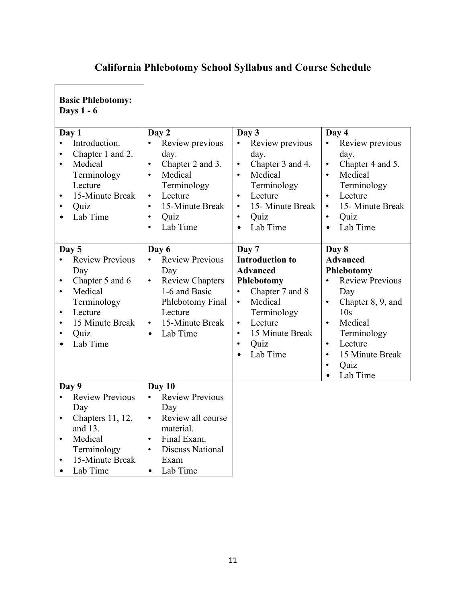# **California Phlebotomy School Syllabus and Course Schedule**

| <b>Basic Phlebotomy:</b><br><b>Days 1 - 6</b>                                                                                                                                                                                    |                                                                                                                                                                                                                             |                                                                                                                                                                                                                                               |                                                                                                                                                                                                                                                                                        |
|----------------------------------------------------------------------------------------------------------------------------------------------------------------------------------------------------------------------------------|-----------------------------------------------------------------------------------------------------------------------------------------------------------------------------------------------------------------------------|-----------------------------------------------------------------------------------------------------------------------------------------------------------------------------------------------------------------------------------------------|----------------------------------------------------------------------------------------------------------------------------------------------------------------------------------------------------------------------------------------------------------------------------------------|
| Day 1<br>Introduction.<br>$\bullet$<br>Chapter 1 and 2.<br>$\bullet$<br>Medical<br>$\bullet$<br>Terminology<br>Lecture<br>15-Minute Break<br>$\bullet$<br>Quiz<br>$\bullet$<br>Lab Time<br>$\bullet$                             | Day 2<br>Review previous<br>$\bullet$<br>day.<br>Chapter 2 and 3.<br>$\bullet$<br>Medical<br>$\bullet$<br>Terminology<br>Lecture<br>$\bullet$<br>15-Minute Break<br>$\bullet$<br>Quiz<br>$\bullet$<br>Lab Time<br>$\bullet$ | Day 3<br>Review previous<br>$\bullet$<br>day.<br>Chapter 3 and 4.<br>$\bullet$<br>Medical<br>$\bullet$<br>Terminology<br>Lecture<br>$\bullet$<br>15- Minute Break<br>$\bullet$<br>Quiz<br>$\bullet$<br>Lab Time<br>$\bullet$                  | Day 4<br>Review previous<br>$\bullet$<br>day.<br>Chapter 4 and 5.<br>$\bullet$<br>Medical<br>$\bullet$<br>Terminology<br>Lecture<br>$\bullet$<br>15- Minute Break<br>$\bullet$<br>Quiz<br>$\bullet$<br>Lab Time<br>$\bullet$                                                           |
| Day 5<br><b>Review Previous</b><br>$\bullet$<br>Day<br>Chapter 5 and 6<br>$\bullet$<br>Medical<br>$\bullet$<br>Terminology<br>Lecture<br>$\bullet$<br>15 Minute Break<br>$\bullet$<br>Quiz<br>$\bullet$<br>Lab Time<br>$\bullet$ | Day 6<br><b>Review Previous</b><br>$\bullet$<br>Day<br><b>Review Chapters</b><br>$\bullet$<br>1-6 and Basic<br>Phlebotomy Final<br>Lecture<br>15-Minute Break<br>$\bullet$<br>Lab Time<br>$\bullet$                         | Day 7<br><b>Introduction to</b><br><b>Advanced</b><br>Phlebotomy<br>Chapter 7 and 8<br>$\bullet$<br>Medical<br>$\bullet$<br>Terminology<br>Lecture<br>$\bullet$<br>15 Minute Break<br>$\bullet$<br>Quiz<br>$\bullet$<br>Lab Time<br>$\bullet$ | Day 8<br><b>Advanced</b><br>Phlebotomy<br><b>Review Previous</b><br>$\bullet$<br>Day<br>Chapter 8, 9, and<br>$\bullet$<br>10 <sub>s</sub><br>Medical<br>$\bullet$<br>Terminology<br>Lecture<br>$\bullet$<br>15 Minute Break<br>$\bullet$<br>Quiz<br>$\bullet$<br>Lab Time<br>$\bullet$ |
| Day 9<br><b>Review Previous</b><br>$\bullet$<br>Day<br>Chapters 11, 12,<br>$\bullet$<br>and 13.<br>Medical<br>$\bullet$<br>Terminology<br>15-Minute Break<br>$\bullet$<br>Lab Time<br>$\bullet$                                  | Day 10<br><b>Review Previous</b><br>$\bullet$<br>Day<br>Review all course<br>$\bullet$<br>material.<br>Final Exam.<br>$\bullet$<br><b>Discuss National</b><br>$\bullet$<br>Exam<br>Lab Time<br>$\bullet$                    |                                                                                                                                                                                                                                               |                                                                                                                                                                                                                                                                                        |